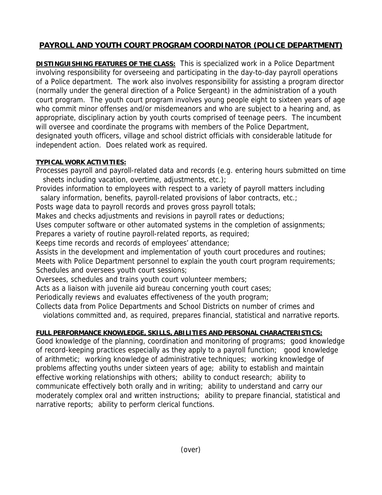## **PAYROLL AND YOUTH COURT PROGRAM COORDINATOR (POLICE DEPARTMENT)**

**DISTINGUISHING FEATURES OF THE CLASS:** This is specialized work in a Police Department involving responsibility for overseeing and participating in the day-to-day payroll operations of a Police department. The work also involves responsibility for assisting a program director (normally under the general direction of a Police Sergeant) in the administration of a youth court program. The youth court program involves young people eight to sixteen years of age who commit minor offenses and/or misdemeanors and who are subject to a hearing and, as appropriate, disciplinary action by youth courts comprised of teenage peers. The incumbent will oversee and coordinate the programs with members of the Police Department, designated youth officers, village and school district officials with considerable latitude for independent action. Does related work as required.

## **TYPICAL WORK ACTIVITIES:**

Processes payroll and payroll-related data and records (e.g. entering hours submitted on time sheets including vacation, overtime, adjustments, etc.);

Provides information to employees with respect to a variety of payroll matters including salary information, benefits, payroll-related provisions of labor contracts, etc.;

Posts wage data to payroll records and proves gross payroll totals;

Makes and checks adjustments and revisions in payroll rates or deductions;

Uses computer software or other automated systems in the completion of assignments;

Prepares a variety of routine payroll-related reports, as required;

Keeps time records and records of employees' attendance;

Assists in the development and implementation of youth court procedures and routines;

Meets with Police Department personnel to explain the youth court program requirements; Schedules and oversees youth court sessions;

Oversees, schedules and trains youth court volunteer members;

Acts as a liaison with juvenile aid bureau concerning youth court cases;

Periodically reviews and evaluates effectiveness of the youth program;

Collects data from Police Departments and School Districts on number of crimes and

violations committed and, as required, prepares financial, statistical and narrative reports.

## **FULL PERFORMANCE KNOWLEDGE, SKILLS, ABILITIES AND PERSONAL CHARACTERISTICS:**

Good knowledge of the planning, coordination and monitoring of programs; good knowledge of record-keeping practices especially as they apply to a payroll function; good knowledge of arithmetic; working knowledge of administrative techniques; working knowledge of problems affecting youths under sixteen years of age; ability to establish and maintain effective working relationships with others; ability to conduct research; ability to communicate effectively both orally and in writing; ability to understand and carry our moderately complex oral and written instructions; ability to prepare financial, statistical and narrative reports; ability to perform clerical functions.